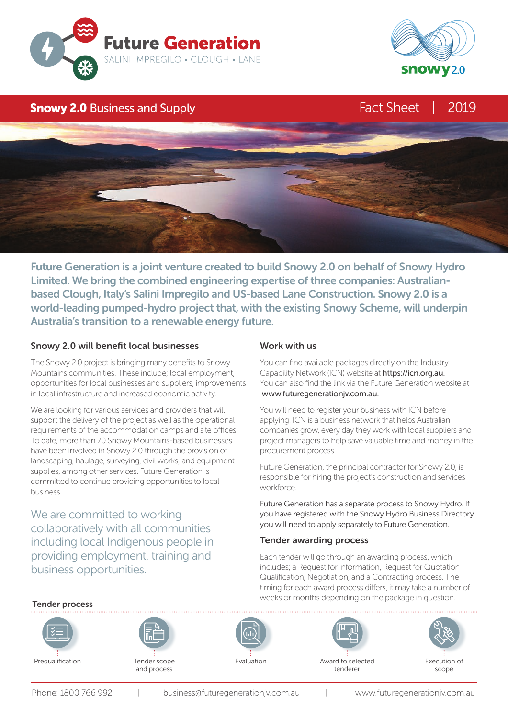



## **Snowy 2.0** Business and Supply **Fact Sheet | 2019**



Future Generation is a joint venture created to build Snowy 2.0 on behalf of Snowy Hydro Limited. We bring the combined engineering expertise of three companies: Australianbased Clough, Italy's Salini Impregilo and US-based Lane Construction. Snowy 2.0 is a world-leading pumped-hydro project that, with the existing Snowy Scheme, will underpin Australia's transition to a renewable energy future.

## Snowy 2.0 will benefit local businesses

The Snowy 2.0 project is bringing many benefits to Snowy Mountains communities. These include; local employment, opportunities for local businesses and suppliers, improvements in local infrastructure and increased economic activity.

We are looking for various services and providers that will support the delivery of the project as well as the operational requirements of the accommodation camps and site offices. To date, more than 70 Snowy Mountains-based businesses have been involved in Snowy 2.0 through the provision of landscaping, haulage, surveying, civil works, and equipment supplies, among other services. Future Generation is committed to continue providing opportunities to local business.

We are committed to working collaboratively with all communities including local Indigenous people in providing employment, training and business opportunities.

### Work with us

You can find available packages directly on the Industry Capability Network (ICN) website at https://icn.org.au. You can also find the link via the Future Generation website at www.futuregenerationjv.com.au.

You will need to register your business with ICN before applying. ICN is a business network that helps Australian companies grow, every day they work with local suppliers and project managers to help save valuable time and money in the procurement process.

Future Generation, the principal contractor for Snowy 2.0, is responsible for hiring the project's construction and services workforce.

Future Generation has a separate process to Snowy Hydro. If you have registered with the Snowy Hydro Business Directory, you will need to apply separately to Future Generation.

## Tender awarding process

Each tender will go through an awarding process, which includes; a Request for Information, Request for Quotation Qualification, Negotiation, and a Contracting process. The timing for each award process differs, it may take a number of weeks or months depending on the package in question.

#### Tender process Prequalification ................ Tender scope ................. Evaluation ............... Award to selected tenderer Tender scope and process Execution of scope Evaluation

Phone: 1800 766 992 | business@futuregenerationjv.com.au | www.futuregenerationjv.com.au